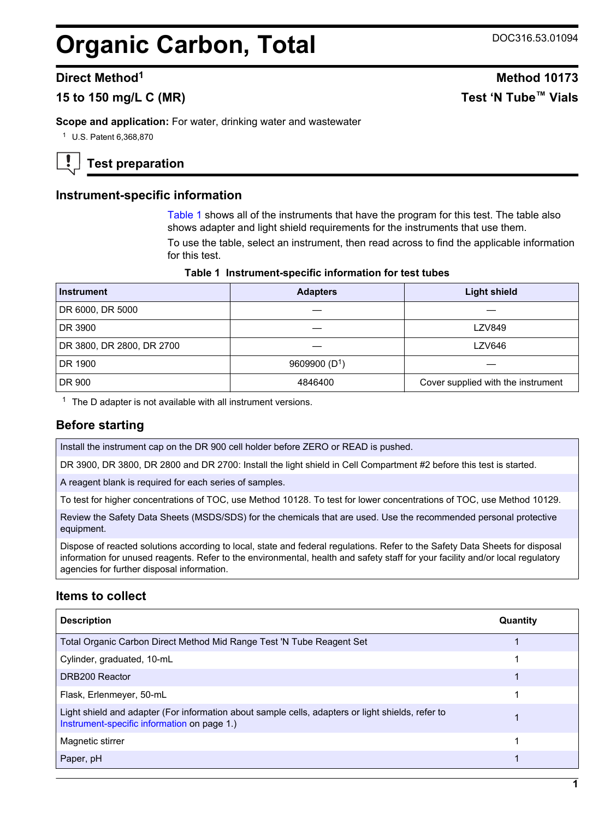## **Organic Carbon, Total** DOC316.53.01094

## **15 to 150 mg/L C (MR) Test 'N Tube™ Vials**

**Scope and application:** For water, drinking water and wastewater

<sup>1</sup> U.S. Patent 6,368,870

**Test preparation**

## **Instrument-specific information**

[Table 1](#page-0-0) shows all of the instruments that have the program for this test. The table also shows adapter and light shield requirements for the instruments that use them.

To use the table, select an instrument, then read across to find the applicable information for this test.

#### **Table 1 Instrument-specific information for test tubes**

<span id="page-0-1"></span><span id="page-0-0"></span>

| <b>Instrument</b>         | <b>Adapters</b> | <b>Light shield</b>                |  |  |
|---------------------------|-----------------|------------------------------------|--|--|
| DR 6000, DR 5000          |                 |                                    |  |  |
| DR 3900                   |                 | <b>LZV849</b>                      |  |  |
| DR 3800, DR 2800, DR 2700 |                 | LZV646                             |  |  |
| DR 1900                   | 9609900 $(D1)$  |                                    |  |  |
| DR 900                    | 4846400         | Cover supplied with the instrument |  |  |

 $1$  The D adapter is not available with all instrument versions.

## **Before starting**

Install the instrument cap on the DR 900 cell holder before ZERO or READ is pushed.

DR 3900, DR 3800, DR 2800 and DR 2700: Install the light shield in Cell Compartment #2 before this test is started.

A reagent blank is required for each series of samples.

To test for higher concentrations of TOC, use Method 10128. To test for lower concentrations of TOC, use Method 10129.

Review the Safety Data Sheets (MSDS/SDS) for the chemicals that are used. Use the recommended personal protective equipment.

Dispose of reacted solutions according to local, state and federal regulations. Refer to the Safety Data Sheets for disposal information for unused reagents. Refer to the environmental, health and safety staff for your facility and/or local regulatory agencies for further disposal information.

## **Items to collect**

| <b>Description</b>                                                                                                                               | Quantity |
|--------------------------------------------------------------------------------------------------------------------------------------------------|----------|
| Total Organic Carbon Direct Method Mid Range Test 'N Tube Reagent Set                                                                            |          |
| Cylinder, graduated, 10-mL                                                                                                                       |          |
| DRB200 Reactor                                                                                                                                   |          |
| Flask, Erlenmeyer, 50-mL                                                                                                                         |          |
| Light shield and adapter (For information about sample cells, adapters or light shields, refer to<br>Instrument-specific information on page 1.) |          |
| Magnetic stirrer                                                                                                                                 |          |
| Paper, pH                                                                                                                                        |          |

# **Direct Method<sup>1</sup> Method 10173**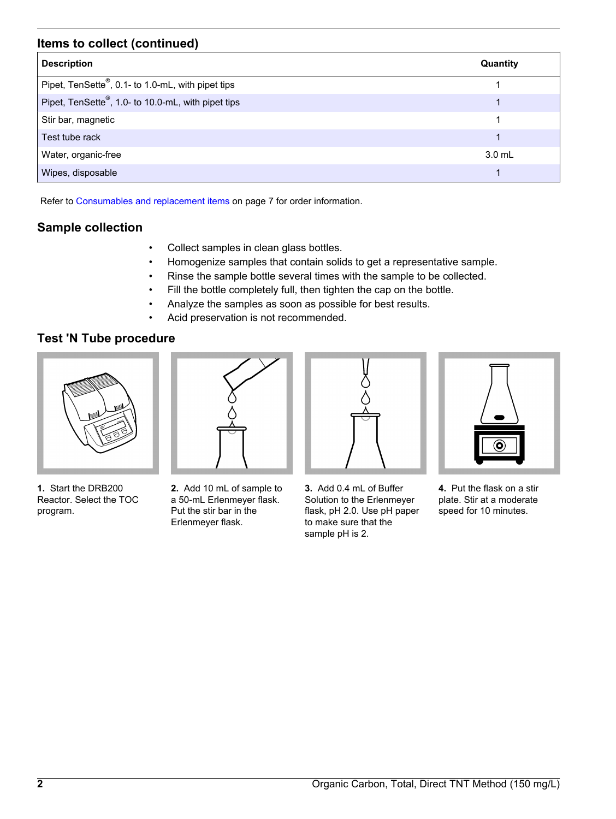## **Items to collect (continued)**

| <b>Description</b>                                 | Quantity |
|----------------------------------------------------|----------|
| Pipet, TenSette®, 0.1- to 1.0-mL, with pipet tips  |          |
| Pipet, TenSette®, 1.0- to 10.0-mL, with pipet tips |          |
| Stir bar, magnetic                                 |          |
| Test tube rack                                     |          |
| Water, organic-free                                | $3.0$ mL |
| Wipes, disposable                                  |          |

Refer to [Consumables and replacement items](#page-6-0) on page 7 for order information.

## **Sample collection**

- Collect samples in clean glass bottles.
- Homogenize samples that contain solids to get a representative sample.
- Rinse the sample bottle several times with the sample to be collected.
- Fill the bottle completely full, then tighten the cap on the bottle.
- Analyze the samples as soon as possible for best results.
- Acid preservation is not recommended.

## **Test 'N Tube procedure**



**1.** Start the DRB200 Reactor. Select the TOC program.



**2.** Add 10 mL of sample to a 50-mL Erlenmeyer flask. Put the stir bar in the Erlenmeyer flask.



**3.** Add 0.4 mL of Buffer Solution to the Erlenmeyer flask, pH 2.0. Use pH paper to make sure that the sample pH is 2.



**4.** Put the flask on a stir plate. Stir at a moderate speed for 10 minutes.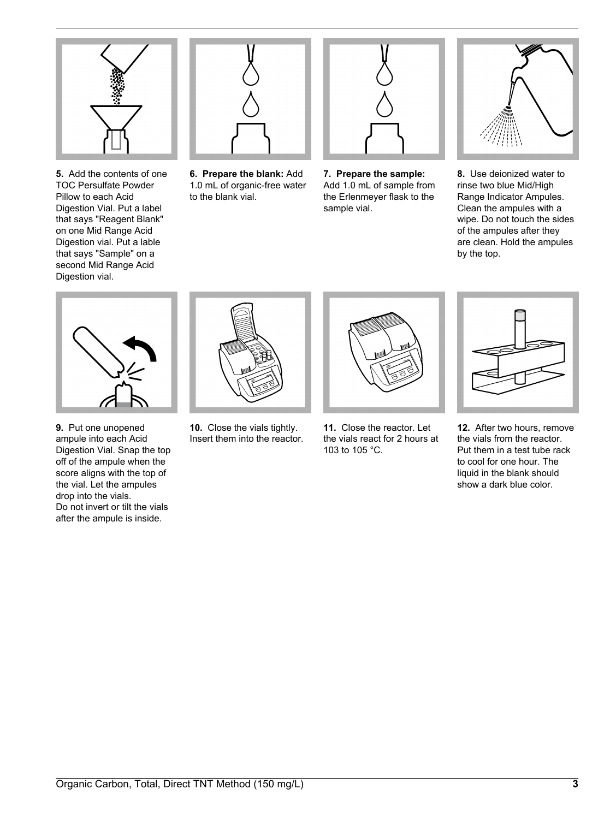

**5.** Add the contents of one TOC Persulfate Powder Pillow to each Acid Digestion Vial. Put a label that says "Reagent Blank" on one Mid Range Acid Digestion vial. Put a lable that says "Sample" on a second Mid Range Acid Digestion vial.



**6. Prepare the blank:** Add 1.0 mL of organic-free water to the blank vial.



**7. Prepare the sample:** Add 1.0 mL of sample from the Erlenmeyer flask to the sample vial.



**8.** Use deionized water to rinse two blue Mid/High Range Indicator Ampules. Clean the ampules with a wipe. Do not touch the sides of the ampules after they are clean. Hold the ampules by the top.



**9.** Put one unopened ampule into each Acid Digestion Vial. Snap the top off of the ampule when the score aligns with the top of the vial. Let the ampules drop into the vials. Do not invert or tilt the vials after the ampule is inside.



**10.** Close the vials tightly. Insert them into the reactor.



**11.** Close the reactor. Let the vials react for 2 hours at 103 to 105 °C.



**12.** After two hours, remove the vials from the reactor. Put them in a test tube rack to cool for one hour. The liquid in the blank should show a dark blue color.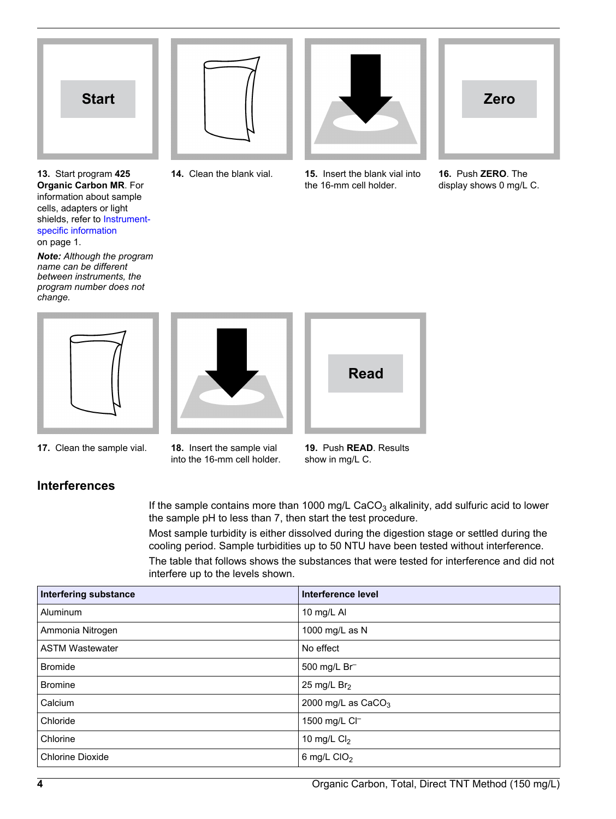

**13.** Start program **425 Organic Carbon MR**. For information about sample cells, adapters or light shields, refer to [Instrument](#page-0-1)[specific information](#page-0-1) on page 1.

*Note: Although the program name can be different between instruments, the program number does not change.*



into the 16-mm cell holder.



**Read**

**14.** Clean the blank vial. **15.** Insert the blank vial into



**16.** Push **ZERO**. The display shows 0 mg/L C.



**19.** Push **READ**. Results show in mg/L C.

**17.** Clean the sample vial. **18.** Insert the sample vial

**Interferences**

If the sample contains more than 1000 mg/L CaCO<sub>3</sub> alkalinity, add sulfuric acid to lower the sample pH to less than 7, then start the test procedure.

Most sample turbidity is either dissolved during the digestion stage or settled during the cooling period. Sample turbidities up to 50 NTU have been tested without interference.

The table that follows shows the substances that were tested for interference and did not interfere up to the levels shown.

| <b>Interfering substance</b> | Interference level   |
|------------------------------|----------------------|
| Aluminum                     | 10 mg/L AI           |
| Ammonia Nitrogen             | 1000 mg/L as N       |
| <b>ASTM Wastewater</b>       | No effect            |
| <b>Bromide</b>               | 500 mg/L Br          |
| <b>Bromine</b>               | 25 mg/L $Br2$        |
| Calcium                      | 2000 mg/L as $CaCO3$ |
| Chloride                     | 1500 mg/L Cl-        |
| Chlorine                     | 10 mg/L $Cl2$        |
| <b>Chlorine Dioxide</b>      | 6 mg/L $ClO2$        |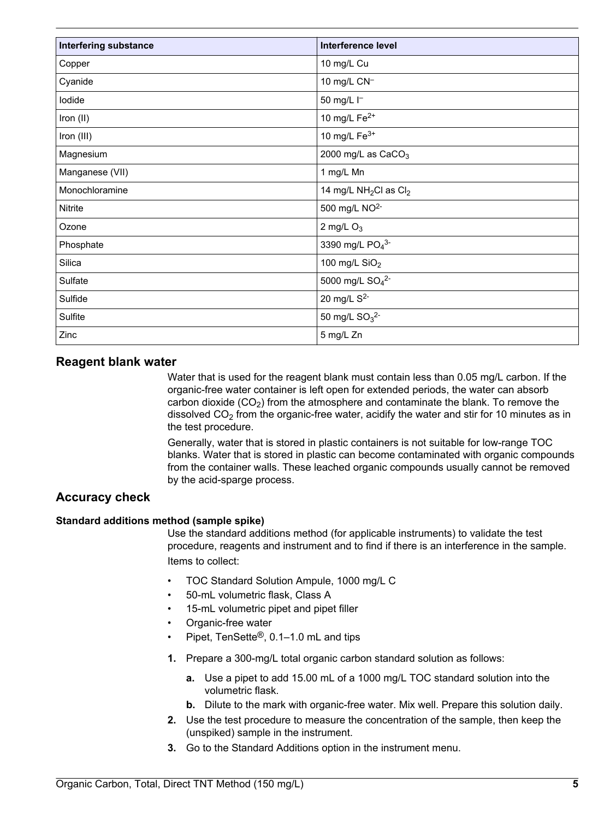| <b>Interfering substance</b> | <b>Interference level</b>                     |
|------------------------------|-----------------------------------------------|
| Copper                       | 10 mg/L Cu                                    |
| Cyanide                      | 10 mg/L CN <sup>-1</sup>                      |
| lodide                       | 50 mg/L I-                                    |
| Iron (II)                    | 10 mg/L $Fe2+$                                |
| Iron (III)                   | 10 mg/L $Fe3+$                                |
| Magnesium                    | 2000 mg/L as $CaCO3$                          |
| Manganese (VII)              | 1 mg/L Mn                                     |
| Monochloramine               | 14 mg/L NH <sub>2</sub> Cl as Cl <sub>2</sub> |
| Nitrite                      | 500 mg/L NO <sup>2-</sup>                     |
| Ozone                        | 2 mg/L $O_3$                                  |
| Phosphate                    | 3390 mg/L PO <sub>4</sub> 3-                  |
| Silica                       | 100 mg/L $SiO2$                               |
| Sulfate                      | 5000 mg/L SO <sub>4</sub> <sup>2-</sup>       |
| Sulfide                      | 20 mg/L S <sup>2-</sup>                       |
| Sulfite                      | 50 mg/L $SO_3^2$ -                            |
| Zinc                         | 5 mg/L Zn                                     |

#### **Reagent blank water**

Water that is used for the reagent blank must contain less than 0.05 mg/L carbon. If the organic-free water container is left open for extended periods, the water can absorb carbon dioxide  $(CO<sub>2</sub>)$  from the atmosphere and contaminate the blank. To remove the dissolved  $CO<sub>2</sub>$  from the organic-free water, acidify the water and stir for 10 minutes as in the test procedure.

Generally, water that is stored in plastic containers is not suitable for low-range TOC blanks. Water that is stored in plastic can become contaminated with organic compounds from the container walls. These leached organic compounds usually cannot be removed by the acid-sparge process.

## **Accuracy check**

#### **Standard additions method (sample spike)**

Use the standard additions method (for applicable instruments) to validate the test procedure, reagents and instrument and to find if there is an interference in the sample. Items to collect:

- TOC Standard Solution Ampule, 1000 mg/L C
- 50-mL volumetric flask, Class A
- 15-mL volumetric pipet and pipet filler
- Organic-free water
- Pipet, TenSette®, 0.1–1.0 mL and tips
- **1.** Prepare a 300-mg/L total organic carbon standard solution as follows:
	- **a.** Use a pipet to add 15.00 mL of a 1000 mg/L TOC standard solution into the volumetric flask.
	- **b.** Dilute to the mark with organic-free water. Mix well. Prepare this solution daily.
- **2.** Use the test procedure to measure the concentration of the sample, then keep the (unspiked) sample in the instrument.
- **3.** Go to the Standard Additions option in the instrument menu.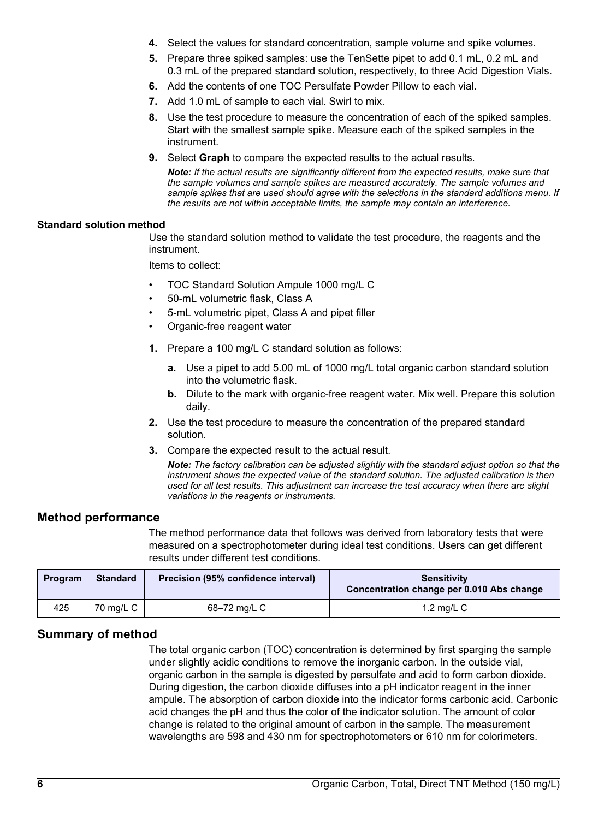- **4.** Select the values for standard concentration, sample volume and spike volumes.
- **5.** Prepare three spiked samples: use the TenSette pipet to add 0.1 mL, 0.2 mL and 0.3 mL of the prepared standard solution, respectively, to three Acid Digestion Vials.
- **6.** Add the contents of one TOC Persulfate Powder Pillow to each vial.
- **7.** Add 1.0 mL of sample to each vial. Swirl to mix.
- **8.** Use the test procedure to measure the concentration of each of the spiked samples. Start with the smallest sample spike. Measure each of the spiked samples in the instrument.
- **9.** Select **Graph** to compare the expected results to the actual results.

*Note: If the actual results are significantly different from the expected results, make sure that the sample volumes and sample spikes are measured accurately. The sample volumes and sample spikes that are used should agree with the selections in the standard additions menu. If the results are not within acceptable limits, the sample may contain an interference.*

#### **Standard solution method**

Use the standard solution method to validate the test procedure, the reagents and the instrument.

Items to collect:

- TOC Standard Solution Ampule 1000 mg/L C
- 50-mL volumetric flask, Class A
- 5-mL volumetric pipet, Class A and pipet filler
- Organic-free reagent water
- **1.** Prepare a 100 mg/L C standard solution as follows:
	- **a.** Use a pipet to add 5.00 mL of 1000 mg/L total organic carbon standard solution into the volumetric flask.
	- **b.** Dilute to the mark with organic-free reagent water. Mix well. Prepare this solution daily.
- **2.** Use the test procedure to measure the concentration of the prepared standard solution.
- **3.** Compare the expected result to the actual result.

*Note: The factory calibration can be adjusted slightly with the standard adjust option so that the instrument shows the expected value of the standard solution. The adjusted calibration is then used for all test results. This adjustment can increase the test accuracy when there are slight variations in the reagents or instruments.*

#### **Method performance**

The method performance data that follows was derived from laboratory tests that were measured on a spectrophotometer during ideal test conditions. Users can get different results under different test conditions.

| Program | <b>Standard</b> | Precision (95% confidence interval) | <b>Sensitivity</b><br>Concentration change per 0.010 Abs change |
|---------|-----------------|-------------------------------------|-----------------------------------------------------------------|
| 425     | 70 mg/L C       | 68-72 mg/L C                        | 1.2 mg/L $C$                                                    |

#### **Summary of method**

The total organic carbon (TOC) concentration is determined by first sparging the sample under slightly acidic conditions to remove the inorganic carbon. In the outside vial, organic carbon in the sample is digested by persulfate and acid to form carbon dioxide. During digestion, the carbon dioxide diffuses into a pH indicator reagent in the inner ampule. The absorption of carbon dioxide into the indicator forms carbonic acid. Carbonic acid changes the pH and thus the color of the indicator solution. The amount of color change is related to the original amount of carbon in the sample. The measurement wavelengths are 598 and 430 nm for spectrophotometers or 610 nm for colorimeters.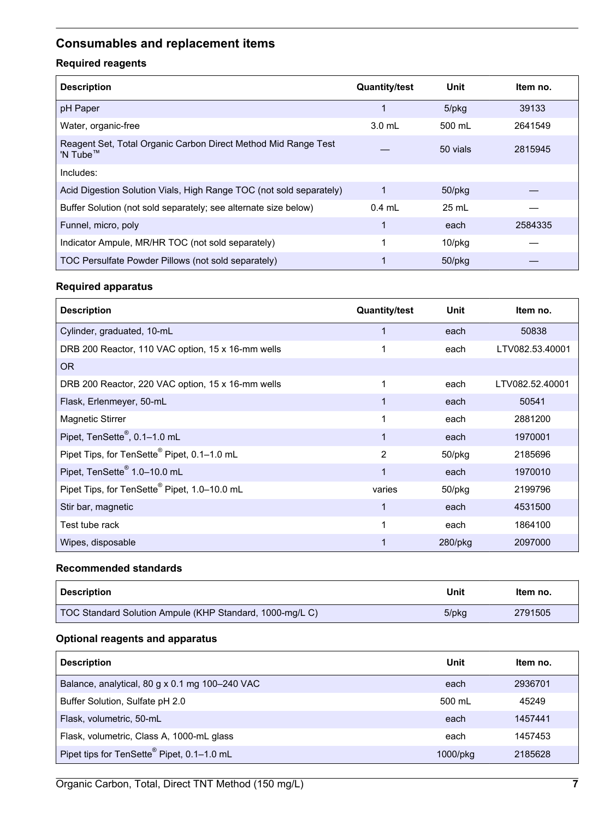## <span id="page-6-0"></span>**Consumables and replacement items**

## **Required reagents**

| <b>Description</b>                                                                     | <b>Quantity/test</b> | Unit         | ltem no. |
|----------------------------------------------------------------------------------------|----------------------|--------------|----------|
| pH Paper                                                                               |                      | 5/pkg        | 39133    |
| Water, organic-free                                                                    | $3.0$ mL             | 500 mL       | 2641549  |
| Reagent Set, Total Organic Carbon Direct Method Mid Range Test<br>'N Tube <sup>™</sup> |                      | 50 vials     | 2815945  |
| Includes:                                                                              |                      |              |          |
| Acid Digestion Solution Vials, High Range TOC (not sold separately)                    | 1                    | $50$ /p $kg$ |          |
| Buffer Solution (not sold separately; see alternate size below)                        | $0.4$ mL             | 25 mL        |          |
| Funnel, micro, poly                                                                    | 1                    | each         | 2584335  |
| Indicator Ampule, MR/HR TOC (not sold separately)                                      |                      | $10$ /p $kg$ |          |
| TOC Persulfate Powder Pillows (not sold separately)                                    |                      | $50$ /p $kg$ |          |

## **Required apparatus**

| <b>Description</b>                                       | <b>Quantity/test</b> | Unit       | Item no.        |
|----------------------------------------------------------|----------------------|------------|-----------------|
| Cylinder, graduated, 10-mL                               | 1                    | each       | 50838           |
| DRB 200 Reactor, 110 VAC option, 15 x 16-mm wells        | 1                    | each       | LTV082.53.40001 |
| <b>OR</b>                                                |                      |            |                 |
| DRB 200 Reactor, 220 VAC option, 15 x 16-mm wells        | 1                    | each       | LTV082.52.40001 |
| Flask, Erlenmeyer, 50-mL                                 | 1                    | each       | 50541           |
| <b>Magnetic Stirrer</b>                                  | 1                    | each       | 2881200         |
| Pipet, TenSette®, 0.1-1.0 mL                             | 1                    | each       | 1970001         |
| Pipet Tips, for TenSette <sup>®</sup> Pipet, 0.1-1.0 mL  | 2                    | 50/pkg     | 2185696         |
| Pipet, TenSette <sup>®</sup> 1.0-10.0 mL                 | 1                    | each       | 1970010         |
| Pipet Tips, for TenSette <sup>®</sup> Pipet, 1.0-10.0 mL | varies               | 50/pkg     | 2199796         |
| Stir bar, magnetic                                       | 1                    | each       | 4531500         |
| Test tube rack                                           | 1                    | each       | 1864100         |
| Wipes, disposable                                        |                      | $280$ /pkg | 2097000         |

#### **Recommended standards**

| Description                                              | Unit  | Item no. |
|----------------------------------------------------------|-------|----------|
| TOC Standard Solution Ampule (KHP Standard, 1000-mg/L C) | 5/pkg | 2791505  |

### **Optional reagents and apparatus**

| <b>Description</b>                                     | Unit     | Item no. |
|--------------------------------------------------------|----------|----------|
| Balance, analytical, 80 g x 0.1 mg 100-240 VAC         | each     | 2936701  |
| Buffer Solution, Sulfate pH 2.0                        | 500 ml   | 45249    |
| Flask, volumetric, 50-mL                               | each     | 1457441  |
| Flask, volumetric, Class A, 1000-mL glass              | each     | 1457453  |
| Pipet tips for TenSette <sup>®</sup> Pipet, 0.1-1.0 mL | 1000/pkg | 2185628  |